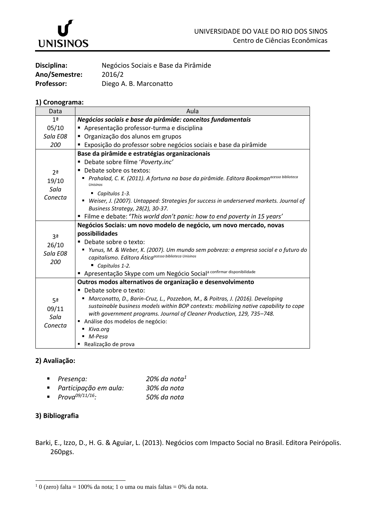

| Disciplina:       | Negócios Sociais e Base da Pirâmide |
|-------------------|-------------------------------------|
| Ano/Semestre:     | 2016/2                              |
| <b>Professor:</b> | Diego A. B. Marconatto              |

## **1) Cronograma:**

| Data                                       | Aula                                                                                                                                         |  |  |
|--------------------------------------------|----------------------------------------------------------------------------------------------------------------------------------------------|--|--|
| 1 <sup>a</sup>                             | Negócios sociais e base da pirâmide: conceitos fundamentais                                                                                  |  |  |
| 05/10                                      | Apresentação professor-turma e disciplina                                                                                                    |  |  |
| Sala E08                                   | " Organização dos alunos em grupos                                                                                                           |  |  |
| 200                                        | Exposição do professor sobre negócios sociais e base da pirâmide                                                                             |  |  |
| 2 <sup>a</sup><br>19/10<br>Sala<br>Conecta | Base da pirâmide e estratégias organizacionais                                                                                               |  |  |
|                                            | Debate sobre filme 'Poverty.inc'                                                                                                             |  |  |
|                                            | Debate sobre os textos:                                                                                                                      |  |  |
|                                            | Prahalad, C. K. (2011). A fortuna na base da pirâmide. Editora Bookman <sup>acesso biblioteca</sup><br><b>Unisinos</b>                       |  |  |
|                                            | ■ Capítulos 1-3.                                                                                                                             |  |  |
|                                            | Weiser, J. (2007). Untapped: Strategies for success in underserved markets. Journal of                                                       |  |  |
|                                            | Business Strategy, 28(2), 30-37.                                                                                                             |  |  |
|                                            | " Filme e debate: 'This world don't panic: how to end poverty in 15 years'                                                                   |  |  |
|                                            | Negócios Sociais: um novo modelo de negócio, um novo mercado, novas                                                                          |  |  |
| 3 <sup>a</sup><br>26/10<br>Sala E08<br>200 | possibilidades                                                                                                                               |  |  |
|                                            | ■ Debate sobre o texto:                                                                                                                      |  |  |
|                                            | ■ Yunus, M. & Weber, K. (2007). Um mundo sem pobreza: a empresa social e o futuro do<br>capitalismo. Editora Áticaacesso biblioteca Unisinos |  |  |
|                                            | Capítulos 1-2.                                                                                                                               |  |  |
|                                            | Apresentação Skype com um Negócio Social <sup>a confirmar disponibilidade</sup>                                                              |  |  |
| 5ª<br>09/11<br>Sala<br>Conecta             | Outros modos alternativos de organização e desenvolvimento                                                                                   |  |  |
|                                            | ■ Debate sobre o texto:                                                                                                                      |  |  |
|                                            | ■ Marconatto, D., Barin-Cruz, L., Pozzebon, M., & Poitras, J. (2016). Developing                                                             |  |  |
|                                            | sustainable business models within BOP contexts: mobilizing native capability to cope                                                        |  |  |
|                                            | with government programs. Journal of Cleaner Production, 129, 735-748.                                                                       |  |  |
|                                            | Análise dos modelos de negócio:                                                                                                              |  |  |
|                                            | ■ Kiva.org                                                                                                                                   |  |  |
|                                            | M-Pesa                                                                                                                                       |  |  |
|                                            | ■ Realização de prova                                                                                                                        |  |  |

## **2) Avaliação:**

| $Presenca$ :                       | 20% da nota $^1$ |
|------------------------------------|------------------|
| ■ Participação em aula:            | 30% da nota      |
| <b>Prova</b> <sup>09/11/16</sup> : | 50% da nota      |

## **3) Bibliografia**

-

Barki, E., Izzo, D., H. G. & Aguiar, L. (2013). Negócios com Impacto Social no Brasil. Editora Peirópolis. 260pgs.

 $10$  (zero) falta = 100% da nota; 1 o uma ou mais faltas = 0% da nota.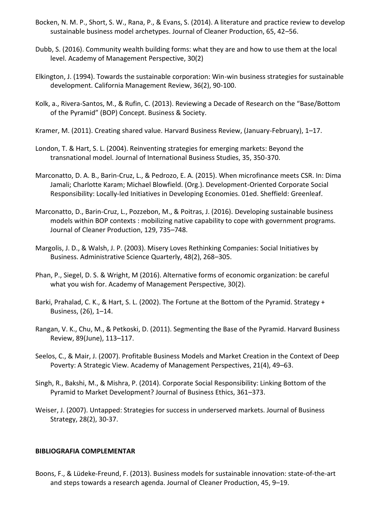- Bocken, N. M. P., Short, S. W., Rana, P., & Evans, S. (2014). A literature and practice review to develop sustainable business model archetypes. Journal of Cleaner Production, 65, 42–56.
- Dubb, S. (2016). Community wealth building forms: what they are and how to use them at the local level. Academy of Management Perspective, 30(2)
- Elkington, J. (1994). Towards the sustainable corporation: Win-win business strategies for sustainable development. California Management Review, 36(2), 90-100.
- Kolk, a., Rivera-Santos, M., & Rufin, C. (2013). Reviewing a Decade of Research on the "Base/Bottom of the Pyramid" (BOP) Concept. Business & Society.
- Kramer, M. (2011). Creating shared value. Harvard Business Review, (January-February), 1–17.
- London, T. & Hart, S. L. (2004). Reinventing strategies for emerging markets: Beyond the transnational model. Journal of International Business Studies, 35, 350-370.
- Marconatto, D. A. B., Barin-Cruz, L., & Pedrozo, E. A. (2015). When microfinance meets CSR. In: Dima Jamali; Charlotte Karam; Michael Blowfield. (Org.). Development-Oriented Corporate Social Responsibility: Locally-led Initiatives in Developing Economies. 01ed. Sheffield: Greenleaf.
- Marconatto, D., Barin-Cruz, L., Pozzebon, M., & Poitras, J. (2016). Developing sustainable business models within BOP contexts : mobilizing native capability to cope with government programs. Journal of Cleaner Production, 129, 735–748.
- Margolis, J. D., & Walsh, J. P. (2003). Misery Loves Rethinking Companies: Social Initiatives by Business. Administrative Science Quarterly, 48(2), 268–305.
- Phan, P., Siegel, D. S. & Wright, M (2016). Alternative forms of economic organization: be careful what you wish for. Academy of Management Perspective, 30(2).
- Barki, Prahalad, C. K., & Hart, S. L. (2002). The Fortune at the Bottom of the Pyramid. Strategy + Business, (26), 1–14.
- Rangan, V. K., Chu, M., & Petkoski, D. (2011). Segmenting the Base of the Pyramid. Harvard Business Review, 89(June), 113–117.
- Seelos, C., & Mair, J. (2007). Profitable Business Models and Market Creation in the Context of Deep Poverty: A Strategic View. Academy of Management Perspectives, 21(4), 49–63.
- Singh, R., Bakshi, M., & Mishra, P. (2014). Corporate Social Responsibility: Linking Bottom of the Pyramid to Market Development? Journal of Business Ethics, 361–373.
- Weiser, J. (2007). Untapped: Strategies for success in underserved markets. Journal of Business Strategy, 28(2), 30-37.

## **BIBLIOGRAFIA COMPLEMENTAR**

Boons, F., & Lüdeke-Freund, F. (2013). Business models for sustainable innovation: state-of-the-art and steps towards a research agenda. Journal of Cleaner Production, 45, 9–19.